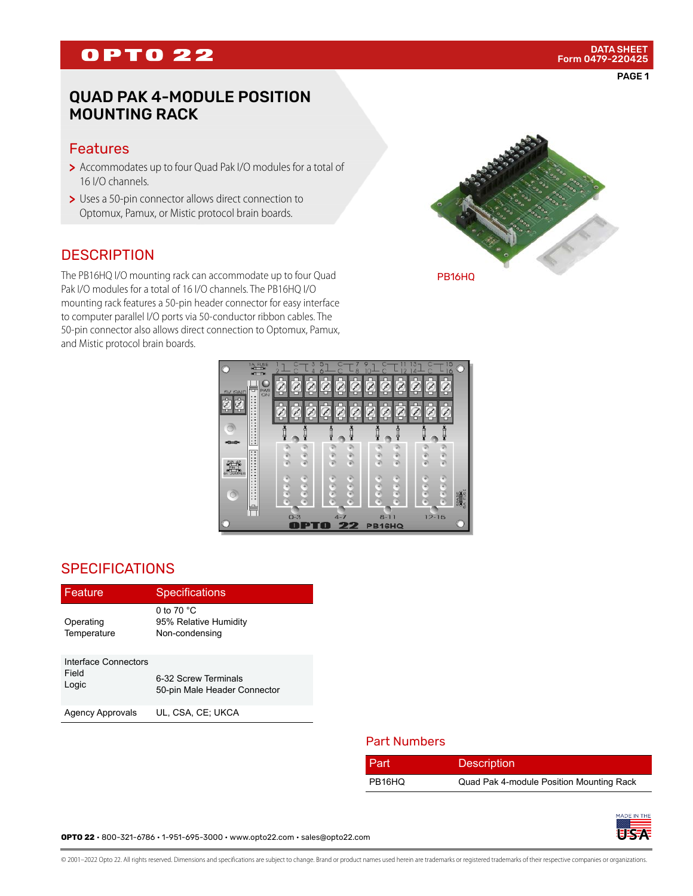# **OPTO 22**

## QUAD PAK 4-MODULE POSITION MOUNTING RACK

#### Features

- > Accommodates up to four Quad Pak I/O modules for a total of 16 I/O channels.
- > Uses a 50-pin connector allows direct connection to Optomux, Pamux, or Mistic protocol brain boards.

#### **DESCRIPTION**

The PB16HQ I/O mounting rack can accommodate up to four Quad Pak I/O modules for a total of 16 I/O channels. The PB16HQ I/O mounting rack features a 50-pin header connector for easy interface to computer parallel I/O ports via 50-conductor ribbon cables. The 50-pin connector also allows direct connection to Optomux, Pamux, and Mistic protocol brain boards.



 $O 8 - 11$ OPTO PB16HQ

### **SPECIFICATIONS**

| Feature                                | <b>Specifications</b>                                           |  |
|----------------------------------------|-----------------------------------------------------------------|--|
| Operating<br>Temperature               | 0 to 70 $^{\circ}$ C<br>95% Relative Humidity<br>Non-condensing |  |
| Interface Connectors<br>Field<br>Logic | 6-32 Screw Terminals<br>50-pin Male Header Connector            |  |
| Agency Approvals                       | UL, CSA, CE, UKCA                                               |  |

#### Part Numbers

| Part   | <b>Description</b>                       |
|--------|------------------------------------------|
| PB16HQ | Quad Pak 4-module Position Mounting Rack |



**OPTO 22** • 800-321-6786 • 1-951-695-3000 • www.opto22.com • sales@opto22.com

© 2001–2022 Opto 22. All rights reserved. Dimensions and specifications are subject to change. Brand or product names used herein are trademarks or registered trademarks of their respective companies or organizations.

PAGE 1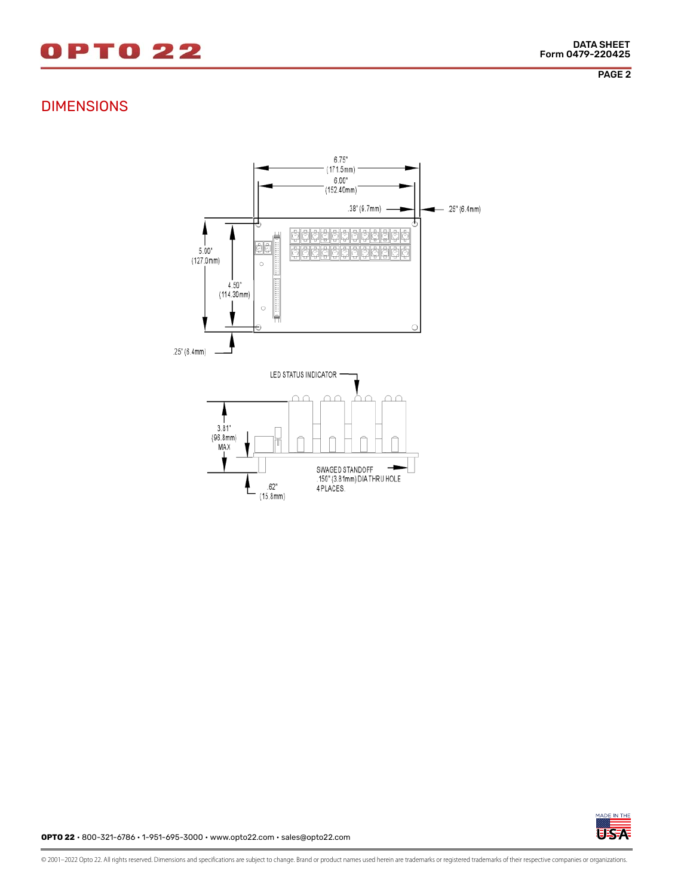# 0 P T 0 2 2

PAGE 2

### DIMENSIONS





**OPTO 22** • 800-321-6786 • 1-951-695-3000 • www.opto22.com • sales@opto22.com

© 2001–2022 Opto 22. All rights reserved. Dimensions and specifications are subject to change. Brand or product names used herein are trademarks or registered trademarks of their respective companies or organizations.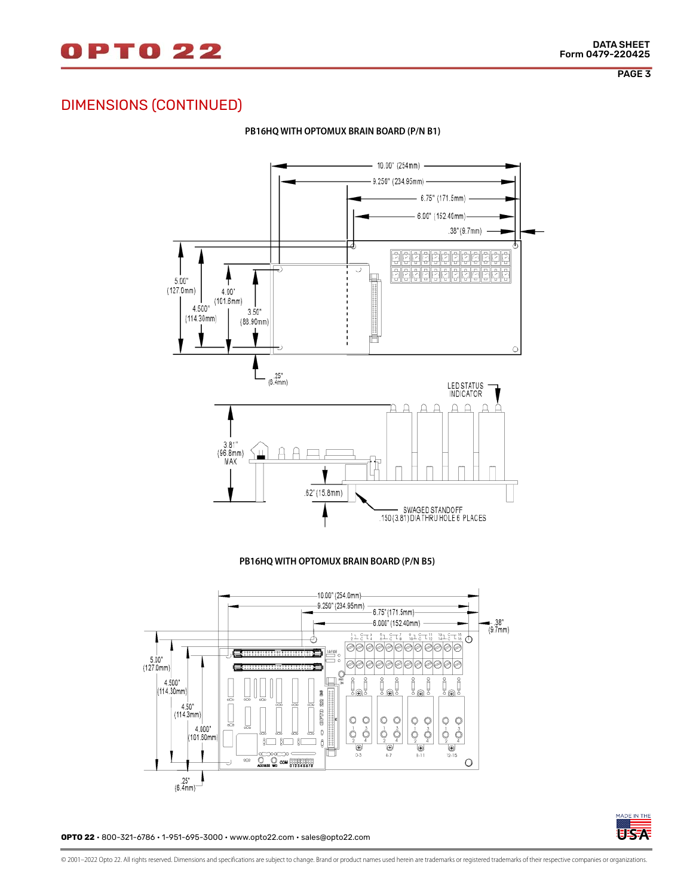

PAGE 3

# DIMENSIONS (CONTINUED)



#### **PB16HQ WITH OPTOMUX BRAIN BOARD (P/N B1)**

**PB16HQ WITH OPTOMUX BRAIN BOARD (P/N B5)**





**OPTO 22** • 800-321-6786 • 1-951-695-3000 • www.opto22.com • sales@opto22.com

© 2001–2022 Opto 22. All rights reserved. Dimensions and specifications are subject to change. Brand or product names used herein are trademarks or registered trademarks of their respective companies or organizations.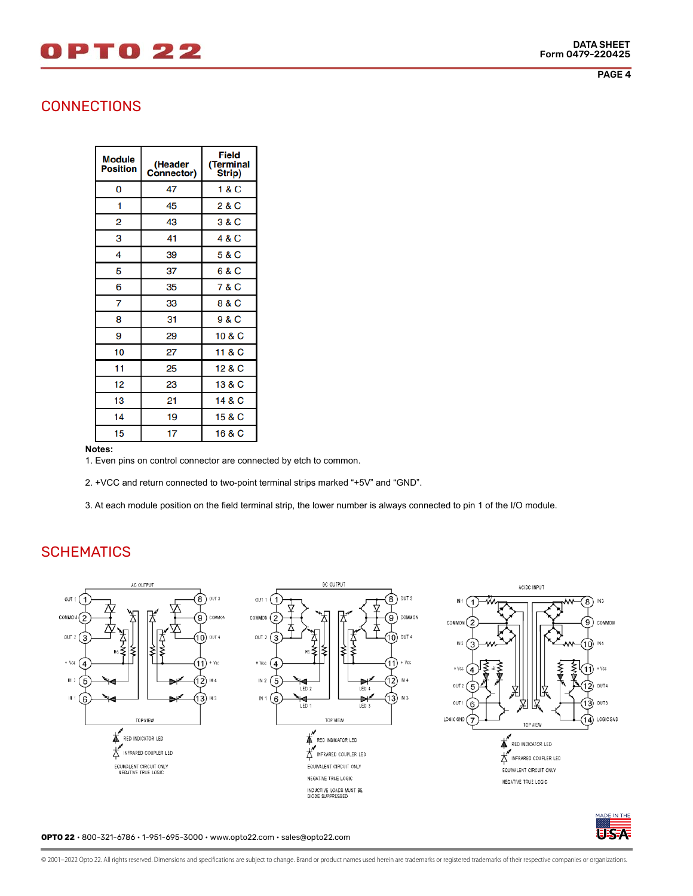# 0 P T 0 2 2

PAGE 4

### **CONNECTIONS**

| <b>Module</b><br>Position | (Header<br><b>Connector)</b> | Field<br>Terminal<br>Strip) |
|---------------------------|------------------------------|-----------------------------|
| 0                         | 47                           | 1 & C                       |
| 1                         | 45                           | 2 & C                       |
| 2                         | 43                           | 3 & C                       |
| 3                         | 41                           | 4 & C                       |
| 4                         | 39                           | 5 & C                       |
| 5                         | 37                           | 6 & C                       |
| 6                         | 35                           | 7 & C                       |
| 7                         | 33                           | 8 & C                       |
| 8                         | 31                           | 9 & C                       |
| 9                         | 29                           | 10 & C                      |
| 10                        | 27                           | 11 & C                      |
| 11                        | 25                           | 12 & C                      |
| 12                        | 23                           | 13 & C                      |
| 13                        | 21                           | 14 & C                      |
| 14                        | 19                           | 15 & C                      |
| 15                        | 17                           | 16 & C                      |

**Notes:**

1. Even pins on control connector are connected by etch to common.

2. +VCC and return connected to two-point terminal strips marked "+5V" and "GND".

3. At each module position on the field terminal strip, the lower number is always connected to pin 1 of the I/O module.

## **SCHEMATICS**



**OPTO 22** • 800-321-6786 • 1-951-695-3000 • www.opto22.com • sales@opto22.com

USA

© 2001–2022 Opto 22. All rights reserved. Dimensions and specifications are subject to change. Brand or product names used herein are trademarks or registered trademarks of their respective companies or organizations.